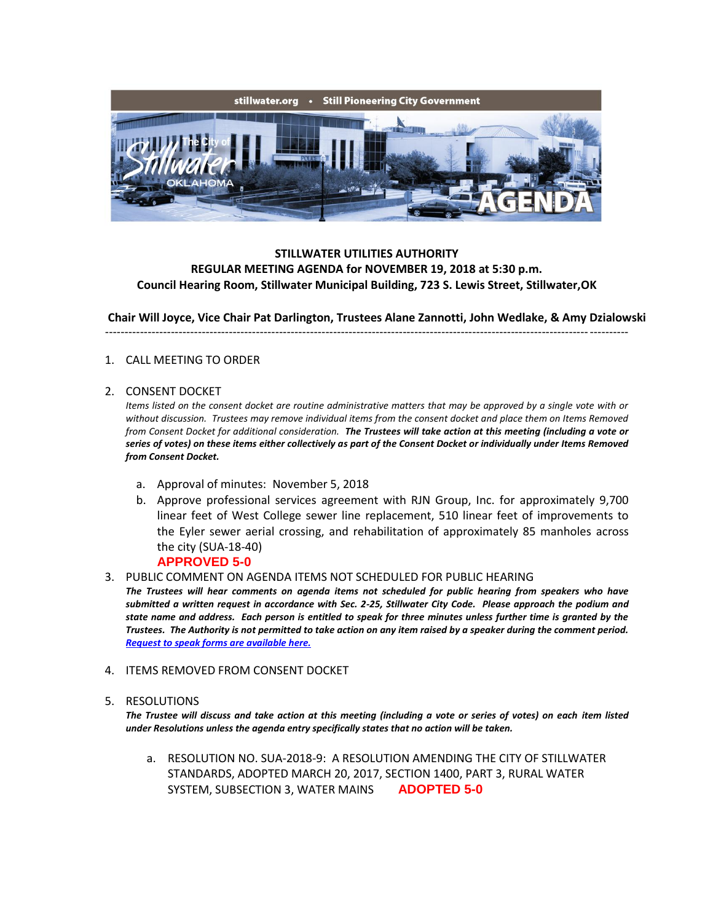

# **STILLWATER UTILITIES AUTHORITY REGULAR MEETING AGENDA for NOVEMBER 19, 2018 at 5:30 p.m. Council Hearing Room, Stillwater Municipal Building, 723 S. Lewis Street, Stillwater,OK**

**Chair Will Joyce, Vice Chair Pat Darlington, Trustees Alane Zannotti, John Wedlake, & Amy Dzialowski**

### ---------------------------------------------------------------------------------------------------------------------------------------

### 1. CALL MEETING TO ORDER

### 2. CONSENT DOCKET

*Items listed on the consent docket are routine administrative matters that may be approved by a single vote with or without discussion. Trustees may remove individual items from the consent docket and place them on Items Removed from Consent Docket for additional consideration. The Trustees will take action at this meeting (including a vote or series of votes) on these items either collectively as part of the Consent Docket or individually under Items Removed from Consent Docket.*

- a. Approval of minutes: November 5, 2018
- b. Approve professional services agreement with RJN Group, Inc. for approximately 9,700 linear feet of West College sewer line replacement, 510 linear feet of improvements to the Eyler sewer aerial crossing, and rehabilitation of approximately 85 manholes across the city (SUA-18-40)

## **APPROVED 5-0**

3. PUBLIC COMMENT ON AGENDA ITEMS NOT SCHEDULED FOR PUBLIC HEARING

*The Trustees will hear comments on agenda items not scheduled for public hearing from speakers who have submitted a written request in accordance with Sec. 2-25, Stillwater City Code. Please approach the podium and state name and address. Each person is entitled to speak for three minutes unless further time is granted by the Trustees. The Authority is not permitted to take action on any item raised by a speaker during the comment period. [Request to speak forms are available here.](http://stillwater.org/document/request_to_speak_at_city_council.php)*

#### 4. ITEMS REMOVED FROM CONSENT DOCKET

#### 5. RESOLUTIONS

*The Trustee will discuss and take action at this meeting (including a vote or series of votes) on each item listed under Resolutions unless the agenda entry specifically states that no action will be taken.*

a. RESOLUTION NO. SUA-2018-9: A RESOLUTION AMENDING THE CITY OF STILLWATER STANDARDS, ADOPTED MARCH 20, 2017, SECTION 1400, PART 3, RURAL WATER SYSTEM, SUBSECTION 3, WATER MAINS **ADOPTED 5-0**